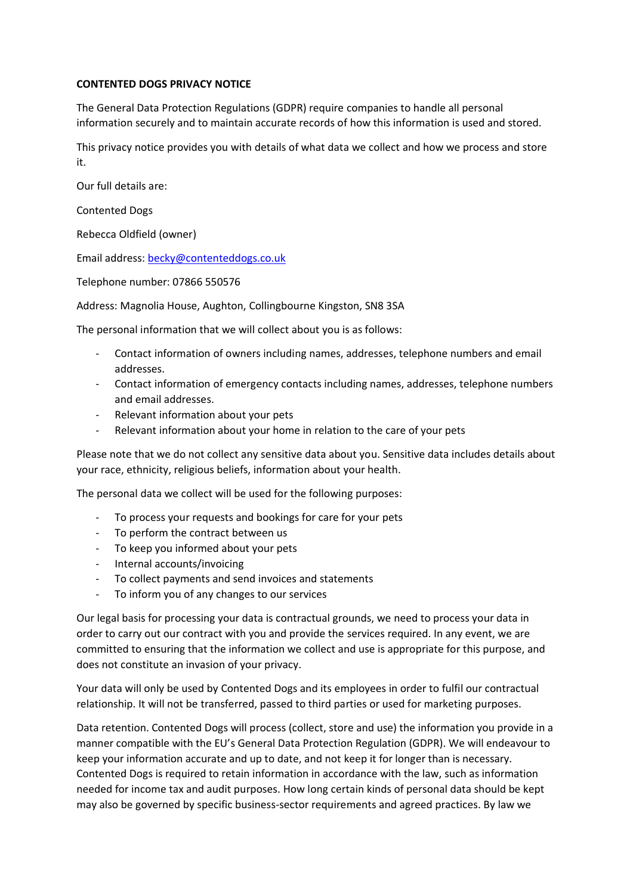## **CONTENTED DOGS PRIVACY NOTICE**

The General Data Protection Regulations (GDPR) require companies to handle all personal information securely and to maintain accurate records of how this information is used and stored.

This privacy notice provides you with details of what data we collect and how we process and store it.

Our full details are:

Contented Dogs

Rebecca Oldfield (owner)

Email address: [becky@contenteddogs.co.uk](mailto:becky@contenteddogs.co.uk)

Telephone number: 07866 550576

Address: Magnolia House, Aughton, Collingbourne Kingston, SN8 3SA

The personal information that we will collect about you is as follows:

- Contact information of owners including names, addresses, telephone numbers and email addresses.
- Contact information of emergency contacts including names, addresses, telephone numbers and email addresses.
- Relevant information about your pets
- Relevant information about your home in relation to the care of your pets

Please note that we do not collect any sensitive data about you. Sensitive data includes details about your race, ethnicity, religious beliefs, information about your health.

The personal data we collect will be used for the following purposes:

- To process your requests and bookings for care for your pets
- To perform the contract between us
- To keep you informed about your pets
- Internal accounts/invoicing
- To collect payments and send invoices and statements
- To inform you of any changes to our services

Our legal basis for processing your data is contractual grounds, we need to process your data in order to carry out our contract with you and provide the services required. In any event, we are committed to ensuring that the information we collect and use is appropriate for this purpose, and does not constitute an invasion of your privacy.

Your data will only be used by Contented Dogs and its employees in order to fulfil our contractual relationship. It will not be transferred, passed to third parties or used for marketing purposes.

Data retention. Contented Dogs will process (collect, store and use) the information you provide in a manner compatible with the EU's General Data Protection Regulation (GDPR). We will endeavour to keep your information accurate and up to date, and not keep it for longer than is necessary. Contented Dogs is required to retain information in accordance with the law, such as information needed for income tax and audit purposes. How long certain kinds of personal data should be kept may also be governed by specific business-sector requirements and agreed practices. By law we